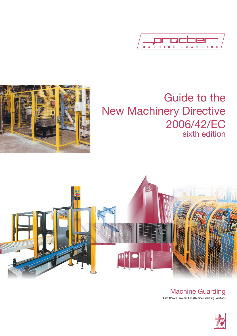



# Guide to the New Machinery Directive 2006/42/EC sixth edition



Machine Guarding First Choice Provider For Machine Guarding Solutions

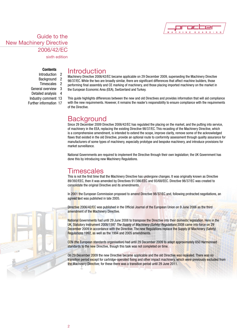

sixth edition

# **Contents**

- Introduction 2 Background 2
- 
- Timescales 2 General overview 3
- Detailed analysis 4
- Industry comment 13
- Further information 17

# Introduction

Machinery Directive 2006/42/EC became applicable on 29 December 2009, superseding the Machinery Directive 98/37/EC. While the two are broadly similar, there are significant differences that affect machine builders, those performing final assembly and CE marking of machinery, and those placing imported machinery on the market in the European Economic Area (EEA), Switzerland and Turkey.

This guide highlights differences between the new and old Directives and provides information that will aid compliance with the new requirements. However, it remains the reader's responsibility to ensure compliance with the requirements of the Directive.

# **Background**

Since 29 December 2009 Directive 2006/42/EC has regulated the placing on the market, and the putting into service, of machinery in the EEA, replacing the existing Directive 98/37/EC. This recasting of the Machinery Directive, which is a comprehensive amendment, is intended to extend the scope, improve clarity, remove some of the acknowledged flaws that existed in the old Directive, provide an optional route to conformity assessment through quality assurance for manufacturers of some types of machinery, especially prototype and bespoke machinery, and introduce provisions for market surveillance.

National Governments are required to implement the Directive through their own legislation; the UK Government has done this by introducing new Machinery Regulations.

# **Timescales**

This is not the first time that the Machinery Directive has undergone changes. It was originally known as Directive 89/392/EEC, then it was amended by Directives 91/386/EEC and 93/68/EEC. Directive 98/37/EC was created to consolidate the original Directive and its amendments.

In 2001 the European Commission proposed to amend Directive 98/37/EC and, following protracted negotiations, an agreed text was published in late 2005.

Directive 2006/42/EC was published in the Official Journal of the European Union on 9 June 2006 as the third amendment of the Machinery Directive.

National Governments had until 29 June 2008 to transpose the Directive into their domestic legislation. Here in the UK, Statutory Instrument 2008/1597 *The Supply of Machinery (Safety) Regulations* 2008 came into force on 29 December 2009 in accordance with the Directive. The new Regulations replace the Supply of Machinery (Safety) Regulations 1992, as well as the 1994 and 2005 amendments.

CEN (the European standards organisation) had until 29 December 2009 to adapt approximately 650 Harmonised standards to the new Directive, though this task was not completed on time.

On 29 December 2009 the new Directive became applicable and the old Directive was repealed. There was no transition period except for cartridge-operated fixing and other impact machinery, which were previously excluded from the Machinery Directive; for these there was a transition period until 29 June 2011.

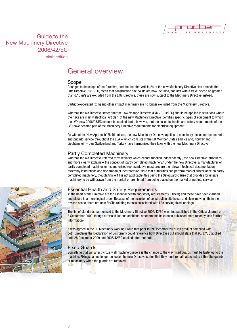

sixth edition

# General overview

### Scope

Changes to the scope of the Directive, and the fact that Article 24 of the new Machinery Directive also amends the Lifts Directive 95/16/EC, mean that construction site hoists are now included, and lifts with a travel speed no greater than 0.15 m/s are excluded from the Lifts Directive; these are now subject to the Machinery Directive instead.

Cartridge-operated fixing and other impact machinery are no longer excluded from the Machinery Directive.

Whereas the old Directive stated that the Low-Voltage Directive (LVD 73/23/EEC) should be applied in situations where the risks are mainly electrical, Article 1 of the new Machinery Directive identifies specific types of equipment to which the LVD (now 2006/95/EC) should be applied. Note, however, that the essential health and safety requirements of the LVD have become part of the Machinery Directive requirements for electrical equipment.

As with other 'New Approach' EU Directives, the new Machinery Directive applies to machinery placed on the market and put into service throughout the EEA – which consists of the EU Member States and Iceland, Norway and Liechtenstein – plus Switzerland and Turkey have harmonised their laws with the new Machinery Directive.

### Partly Completed Machinery

Whereas the old Directive referred to 'machinery which cannot function independently', the new Directive introduces – and more clearly explains – the concept of 'partly completed machinery.' Under the new Directive, a manufacturer of partly completed machines or his authorised representative must prepare the relevant technical documentation, assembly instructions and declaration of incorporation. Note that authorities can perform market surveillance on partly completed machinery, though Article 11 is not applicable, this being the Safeguard clause that provides for unsafe machinery to be withdrawn from the market or prohibited from being placed on the market or put into service.

### Essential Health and Safety Requirements

At the heart of the Directive are the essential health and safety requirements (EHSRs) and these have been clarified and placed in a more logical order. Because of the inclusion of construction site hoists and slow-moving lifts in the revised scope, there are new EHSRs relating to risks associated with lifts serving fixed landings.

The list of standards harmonised to the Machinery Directive 2006/42/EC was first published in the Official Journal on 8 September 2009, though a revised list and additional amendments have been published more recently (see Further information).

It was agreed in the EU Machinery Working Group that prior to 29 December 2009 if a product complied with both Directives the Declaration of Conformity could reference both Directives but should state that 98/37/EC applied until 28 December 2009 and 2006/42/EC applied after that date.

# Fixed Guards

Something that will affect virtually all machine builders is the change to the way fixed guards must be fastened to the machine. Fixings can no longer be loose; the new Directive states that they must remain attached to either the guards or machinery when the quards are removed.

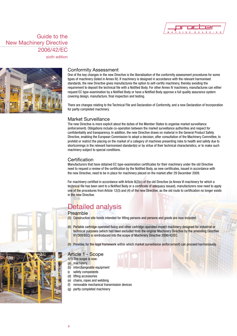

sixth edition



# Conformity Assessment

One of the key changes in the new Directive is the liberalisation of the conformity assessment procedures for some types of machinery (listed in Annex IV). If machinery is designed in accordance with the relevant harmonised standards, the new Directive gives manufactures the option to self-certify machinery, thereby avoiding the requirement to deposit the technical file with a Notified Body. For other Annex IV machinery, manufactures can either request EC type-examination by a Notified Body or have a Notified Body approve a full quality assurance system covering design, manufacture, final inspection and testing.

There are changes relating to the Technical File and Declaration of Conformity, and a new Declaration of Incorporation for partly completed machinery.

### Market Surveillance

The new Directive is more explicit about the duties of the Member States to organise market surveillance (enforcement). Obligations include co-operation between the market surveillance authorities and respect for confidentiality and transparency. In addition, the new Directive draws on material in the General Product Safety Directive, enabling the European Commission to adopt a decision, after consultation of the Machinery Committee, to prohibit or restrict the placing on the market of a category of machines presenting risks to health and safety due to shortcomings in the relevant harmonised standard(s) or by virtue of their technical characteristics, or to make such machinery subject to special conditions.

# **Certification**

Manufacturers that have obtained EC type-examination certificates for their machinery under the old Directive need to request a review of the certification by the Notified Body, as new certificates, issued in accordance with the new Directive, need to be in place for machinery placed on the market after 29 December 2009.

For machinery certified in accordance with Article 8(2)(c) of the old Directive (ie Annex VI machinery for which a technical file has been sent to a Notified Body or a certificate of adequacy issued), manufacturers now need to apply one of the procedures from Article 12(3) and (4) of the new Directive, as the old route to certification no longer exists in the new Directive.

# Detailed analysis

# **Preamble**

- (5) Construction site hoists intended for lifting persons and persons and goods are now included.
- (6) Portable cartridge-operated fixing and other cartridge-operated impact machinery designed for industrial or technical purposes (which had been excluded from the original Machinery Directive by the amending Directive 91/368/EEC) is reintroduced into the scope of Machinery Directive 2006/42/EC.
- (9) Provides for the legal framework within which market surveillance (enforcement) can proceed harmoniously.

# Article 1 - Scope

- 1(1) The scope is now:
- (a) machinery (b) interchangeable equipment
- (c safety components
- (d) lifting accessories
- (e) chains, ropes and webbing
- (f) removable mechanical transmission devices
- (g) partly completed machinery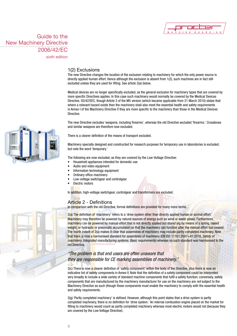

sixth edition

### 1(2) Exclusions

The new Directive changes the location of the exclusion relating to machinery for which the only power source is directly applied human effort. Hence although the exclusion is absent from 1(2), such machines are in fact still excluded unless they are used for lifting. See article 2(a) below.

Medical devices are no longer specifically excluded, as the general exclusion for machinery types that are covered by more specific Directives applies. In this case such machinery would normally be covered by the Medical Devices Directive. 93/42/EEC, though Article 3 of the M5 version (which became applicable from 21 March 2010) states that where a relevant hazard exists then the machinery shall also meet the essential health and safety requirements in Annex I of the Machinery Directive if they are more specific to the machinery than those in the Medical Devices Directive.

The new Directive excludes 'weapons, including firearms', whereas the old Directive excluded 'firearms.' Crossbows and similar weapons are therefore now excluded.

There is a clearer definition of the means of transport excluded.

Machinery specially designed and constructed for research purposes for temporary use in laboratories is excluded, but note the word 'temporary.'

The following are now excluded, as they are covered by the Low-Voltage Directive:

- Household appliances intended for domestic use
- Audio and video equipment
- Information technology equipment
- Ordinary office machinery
- Low-voltage switchgear and controlgear
- **Electric motors**

In addition, high-voltage switchgear, controlgear and transformers are excluded.

# Article 2 - Definitions

In comparison with the old Directive, formal definitions are provided for many more terms.

2(a) The definition of 'machinery' refers to a 'drive system other than directly applied human or animal effort.' Machinery may therefore be powered by natural sources of energy such as wind or water power. Furthermore, machinery can be powered by manual effort that is not directly applied but stored (eq by means of a spring, raised weight, or hydraulic or pneumatic accumulator) so that the machinery can function after the manual effort has ceased. The fourth indent of 2(a) makes it clear that assemblies of machinery may include partly completed machinery. Note that there is now a harmonised standard for assemblies of machinery (EN ISO 11161:2007+A1:2010, *Safety of machinery. Integrated manufacturing systems. Basic requirements)* whereas no such standard was harmonised to the old Directive.

# *"The problem is that end users are often unaware that they are responsible for CE marking assemblies of machinery."*

2(c) There is now a clearer definition of 'safety component' within the body of the Directive, plus there is now an indicative list of safety components in Annex V. Note that the definition of a safety component could be interpreted very broadly to include a wide variety of standard machine components that fulfil a safety function; conversely, safety components that are manufactured by the machinery manufacturer for use on the machinery are *not* subject to the Machinery Directive as such (though these components must enable the machinery to comply with the essential health and safety requirements.

2(g) 'Partly completed machinery' is defined. However, although this point states that a drive system is partly completed machinery, there is no definition for 'drive system.' An internal combustion engine placed on the market for fitting to machinery would count as partly completed machinery whereas most electric motors would not (because they are covered by the Low Voltage Directive).

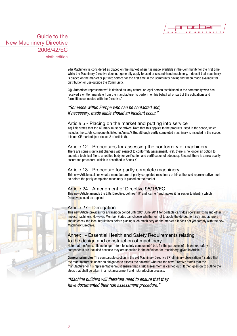

sixth edition

2(h) Machinery is considered as placed on the market when it is made available in the Community for the first time. While the Machinery Directive does not generally apply to used or second-hand machinery, it does if that machinery is placed on the market or put into service for the first time in the Community having first been made available for distribution or use outside the Community.

2(j) 'Authorised representative' is defined as 'any natural or legal person established in the community who has received a written mandate from the manufacturer to perform on his behalf all or part of the obligations and formalities connected with the Directive.'

*"Someone within Europe who can be contacted and, if necessary, made liable should an incident occur."*

### Article 5 - Placing on the market and putting into service

1(f) This states that the CE mark must be affixed. Note that this applies to the products listed in the scope, which includes the safety components listed in Annex V. But although partly completed machinery is included in the scope, it is not CE marked (see clause 2 of Article 5).

# Article 12 - Procedures for assessing the conformity of machinery

There are some significant changes with respect to conformity assessment. First, there is no longer an option to submit a technical file to a notified body for verification and certification of adequacy. Second, there is a new quality assurance procedure, which is described in Annex X.

# Article 13 - Procedure for partly complete machinery

This new Article explains what a manufacturer of partly completed machinery or his authorised representative must do before the partly completed machinery is placed on the market.

# Article 24 - Amendment of Directive 95/16/EC

This new Article amends the Lifts Directive, defines 'lift' and 'carrier' and makes it far easier to identify which Directive should be applied.

# Article 27 - Derogation

This new Article provides for a transition period until 29th June 2011 for portable cartridge operated fixing and other impact machinery. However, Member States can choose whether or not to apply the derogation, so manufacturers should check the local regulations before placing such machinery on the market if it does not yet comply with the new Machinery Directive.

# Annex I - Essential Health and Safety Requirements relating to the design and construction of machinery

Note that the Annex title no longer refers to 'safety components' but, for the purposes of this Annex, safety components are included because they are specified in the definition for 'machinery' given in Article 2.

**General principles** The comparable section in the old Machinery Directive ('Preliminary observations') stated that the manufacture 'is under an obligation to assess the hazards' whereas the new Directive states that the manufacturer or his representative 'must ensure that a risk assessment is carried out.' It then goes on to outline the steps that shall be taken in a risk assessment and risk reduction process.

*"Machine builders will therefore need to ensure that they have documented their risk assessment procedure."*

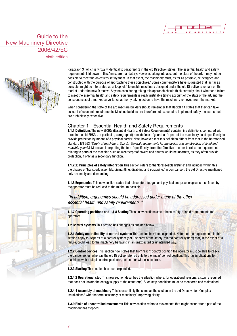

sixth edition



Paragraph 3 (which is virtually identical to paragraph 2 in the old Directive) states: 'The essential health and safety requirements laid down in this Annex are mandatory; However, taking into account the state of the art, it may not be possible to meet the objectives set by them. In that event, the machinery must, as far as possible, be designed and constructed with the purpose of approaching these objectives.' Some commentators have suggested that 'as far as possible' might be interpreted as a 'loophole' to enable machinery designed under the old Directive to remain on the market under the new Directive. Anyone considering taking this approach should think carefully about whether a failure to meet the essential health and safety requirements is really justifiable taking account of the state of the art, and the consequences of a market surveillance authority taking action to have the machinery removed from the market.

When considering the state of the art, machine builders should remember that Recital 14 states that they can take account of economic requirements. Machine builders are therefore not expected to implement safety measures that are prohibitively expensive.

# Chapter 1 - Essential Health and Safety Requirements

**1.1.1 Definitions** The new EHSRs (Essential Health and Safety Requirements) contain nine definitions compared with three in the old EHSRs. In particular, paragraph (f) now defines a 'guard' as 'a part of the machinery used specifically to provide protection by means of a physical barrier. Note, however, that this definition differs from that in the harmonised standard EN 953 *(Safety of machinery. Guards. General requirements for the design and construction of fixed and movable guards)*. Moreover, interpreting the term 'specifically' from the Directive in order to relax the requirements relating to parts of the machine such as weatherproof covers and chutes would be incorrect, as they often provide protection, if only as a secondary function.

**1.1.2(a) Principles of safety integration** This section refers to the 'foreseeable lifetime' and includes within this the phases of 'transport, assembly, dismantling, disabling and scrapping.' In comparison, the old Directive mentioned only assembly and dismantling.

**1.1.6 Ergonomics** This new section states that 'discomfort, fatigue and physical and psychological stress faced by the operator must be reduced to the minimum possible.'

# *"In addition, ergonomics should be addressed under many of the other essential health and safety requirements."*

**1.1.7 Operating positions and 1.1.8 Seating** These new sections cover these safety-related requirements for operators.

**1.2 Control systems** This section has changes as outlined below.

**1.2.1 Safety and reliability of control systems** This section has been expanded. Note that the requirements in this section apply to *all* parts of a control system (not just parts of the safety-related control system) that, in the event of a failure, could lead to the machinery behaving in an unexpected or unintended way.

**1.2.2 Control devices** This section now states that from 'each' control position the operator must be able to check the danger zones, whereas the old Directive referred only to the 'main' control position. This has implications for machines with multiple control positions, pendant or wireless controls.

**1.2.3 Starting** This section has been expanded.

**1.2.4.2 Operational stop** This new section describes the situation where, for operational reasons, a stop is required that does not isolate the energy supply to the actuator(s). Such stop conditions must be monitored and maintained.

**1.2.4.4 Assembly of machinery** This is essentially the same as the section in the old Directive for 'Complex installations,' with the term 'assembly of machinery' improving clarity.

**1.3.9 Risks of uncontrolled movements** This new section refers to movements that might occur after a part of the machinery has stopped.

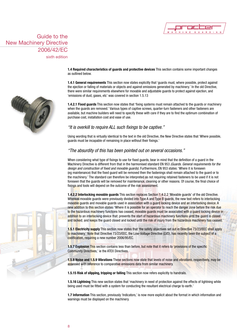

sixth edition

**1.4 Required characteristics of guards and protective devices** This section contains some important changes as outlined below.

**1.4.1 General requirements** This section now states explicitly that 'guards must, where possible, protect against the ejection or falling of materials or objects and against emissions generated by machinery.' In the old Directive, there were similar requirements elsewhere for movable and adjustable guards to protect against ejection, and 'emissions of dust, gases, etc' was covered in section 1.5.13

**1.4.2.1 Fixed guards** This section now states that 'fixing systems must remain attached to the guards or machinery when the guards are removed.' Various types of captive screws, quarter-turn fasteners and other fasteners are available, but machine builders will need to specify these with care if they are to find the optimum combination of purchase cost, installation cost and ease of use.

# *"It is overkill to require ALL such fixings to be captive."*

Using wording that is virtually identical to the text in the old Directive, the New Directive states that 'Where possible, guards must be incapable of remaining in place without their fixings.'

### *"The absurdity of this has been pointed out on several occasions."*

When considering what type of fixings to use for fixed guards, bear in mind that the definition of a guard in the Machinery Directive is different from that in the harmonised standard EN 953 *(Guards. General requirements for the design and construction of fixed and movable guards)*. Furthermore, EN 953 states: 'Where it is foreseen (eg maintenance) that the fixed guard will be removed then the fastenings shall remain attached to the guard or to the machinery.' The standard can therefore be interpreted as not requiring retained fasteners to be used if it is not foreseen that the guards will be removed for maintenance, cleaning or other reasons. Of course, the final choice of fixings and tools will depend on the outcome of the risk assessment.

**1.4.2.2 Interlocking movable guards** This section replaces Section 1.4.2.2 'Movable guards' of the old Directive. Whereas movable guards were previously divided into Type A and Type B guards, the new text refers to interlocking movable guards and movable guards used in association with a guard locking device and an interlocking device. A new addition to this section states: 'Where it is possible for an operator to reach the danger zone before the risk due to the hazardous machinery functions has ceased, movable guards must be associated with a guard locking device in addition to an interlocking device that: prevents the start of hazardous machinery functions until the guard is closed and locked; and keeps the guard closed and locked until the risk of injury from the hazardous machinery has ceased.'

**1.5.1 Electricity supply** This section now states that 'the safety objectives set out in Directive 73/23/EEC shall apply to machinery.' Note that Directive 73/23/EEC, the Low-Voltage Directive (LVD), has recently been the subject of a codification, requiring a new number 2006/95/EC.

**1.5.7 Explosion This** section contains less than before, but note that it refers to 'provisions of the specific Community Directives,' ie the ATEX Directives.

**1.5.8 Noise and 1.5.9 Vibrations** These sections now state that levels of noise and vibrations, respectively, may be assessed with reference to comparative emissions data from similar machinery.

**1.5.15 Risk of slipping, tripping or falling** This section now refers explicitly to handrails.

**1.5.16 Lightning** This new section states that 'machinery in need of protection against the effects of lightning while being used must be fitted with a system for conducting the resultant electrical charge to earth.'

**1.7 Information** This section, previously 'Indicators,' is now more explicit about the format in which information and warnings must be displayed on the machinery.



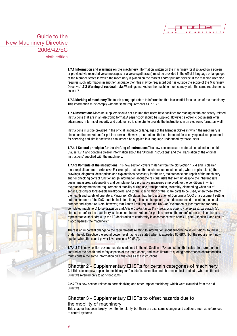

sixth edition

**1.7.1 Information and warnings on the machinery** Information written on the machinery (or displayed on a screen or provided via recorded voice messages or a voice synthesiser) must be provided in the official language or languages of the Member States in which the machinery is placed on the market and/or put into service. If the machine user also requires such information in another language then this may be requested but it is outside the scope of the Machinery Directive.**1.7.2 Warning of residual risks** Warnings marked on the machine must comply with the same requirements as in 1.7.1.

**1.7.3 Marking of machinery** The fourth paragraph refers to information that is essential for safe use of the machinery. This information must comply with the same requirements as in 1.7.1.

**1.7.4 Instructions** Machine suppliers should not assume that users have facilities for reading health and safety-related instructions that are in an electronic format. A paper copy should be supplied. However, electronic documents offer advantages in terms of security and updates, so it is helpful to provide the instructions in an electronic format as well.

Instructions must be provided in the official language or languages of the Member States in which the machinery is placed on the market and/or put into service. However, instructions that are intended for use by specialised personnel for servicing and similar activities can instead be supplied in a language understood by those users.

**1.7.4.1 General principles for the drafting of instructions** This new section covers material contained in the old Clause 1.7.4 and contains clearer information about the 'Original instructions' and the 'Translation of the original instructions' supplied with the machinery.

**1.7.4.2 Contents of the instructions** This new section covers material from the old Section 1.7.4 and is clearer, more explicit and more extensive. For example, it states that each manual must contain, where applicable, (e) the drawings, diagrams, descriptions and explanations necessary for the use, maintenance and repair of the machinery and for checking correct functioning, (I) information about the residual risks that remain despite the inherent safe design measures, safeguarding and complementary protective measures employed, (o) the conditions in which the machinery meets the requirement of stability during use, transportation, assembly, dismantling when out of service, testing or foreseeable breakdowns, and (t) the specification of the spare parts to be used, when these affect the health and safety of operators. Paragraph (3) states that the Declaration of Conformity (DoC) or a document setting out the contents of the DoC must be included, though this can be generic, as it does not need to contain the serial number and signature. Note, however, that Annex II still requires the DoC (or Declaration of Incorporation for partly completed machinery) to be drawn up and Article 5 *(Placing on the market and putting into service)*, paragraph (e), states that before the machinery is placed on the market and/or put into service the manufacturer or his authorised representative shall 'draw up the EC declaration of conformity in accordance with Annex II, part1, section A and ensure it accompanies the machinery.'

There is an important change to the requirements relating to information about airborne noise emissions, found in (u). Under the old Directive the sound power level had to be stated when it exceeded 85 dB(A), but the requirement now applies when the sound power level exceeds 80 dB(A).

**1.7.4.3** This new section covers material contained in the old Section 1.7.4 and states that sales literature must not contradict the health and safety aspects of the instructions, and sales literature quoting performance characteristics must contain the same information on emissions as the instructions.

Chapter 2 - Supplementary EHSRs for certain categories of machinery **2.1** This section now applies to machinery for foodstuffs, cosmetics and pharmaceutical products, whereas the old Directive referred only to agri-foodstuffs.

**2.2.2** This new section relates to portable fixing and other impact machinery, which were excluded from the old Directive.

# Chapter 3 - Supplementary EHSRs to offset hazards due to the mobility of machinery

This chapter has been largely rewritten for clarity, but there are also some changes and additions such as references to control systems.

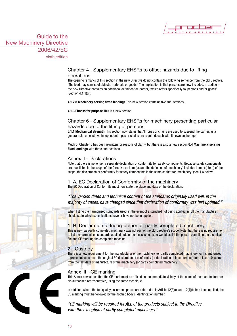

sixth edition

# Chapter 4 - Supplementary EHSRs to offset hazards due to lifting operations

The opening remarks of this section in the new Directive do not contain the following sentence from the old Directive: 'The load may consist of objects, materials or goods.' The implication is that persons are now included. In addition, the new Directive contains an additional definition for 'carrier,' which refers specifically to 'persons and/or goods' (Section 4.1.1(g)).

**4.1.2.8 Machinery serving fixed landings** This new section contains five sub-sections.

**4.1.3 Fitness for purpose** This is a new section.

# Chapter 6 - Supplementary EHSRs for machinery presenting particular hazards due to the lifting of persons

**6.1.1 Mechanical strength** This section now states that 'If ropes or chains are used to suspend the carrier, as a general rule, at least two independent ropes or chains are required, each with its own anchorage.'

Much of Chapter 6 has been rewritten for reasons of clarity, but there is also a new section **6.4 Machinery serving fixed landings** with three sub-sections.

# Annex II - Declarations

Note that there is no longer a separate declaration of conformity for safety components. Because safety components are now listed in the scope of the Directive as item (c), and the definition of 'machinery' includes items (a) to (f) of the scope, the declaration of conformity for safety components is the same as that for 'machinery' (see 1.A below).

# 1. A. EC Declaration of Conformity of the machinery

The EC Declaration of Conformity must now state the place and date of the declaration.

# *"The version dates and technical content of the standards originally used will, in the majority of cases, have changed since that declaration of conformity was last updated."*

When listing the harmonised standards used, in the event of a standard not being applied in full the manufacturer should state which specifications have or have not been applied.

# 1. B. Declaration of Incorporation of partly completed machinery

This is new, as partly completed machinery was not part of the old Directive's scope. Note that there is no requirement to list the harmonised standards applied but, in most cases, to do so would assist the person compiling the technical file and CE marking the completed machine.

# 2 - Custody

There is a new requirement for the manufacturer of the machinery (or partly completed machinery) or his authorised representative to keep the original EC declaration of conformity (or declaration of incorporation) for at least 10 years from the last date of manufacture of the machinery (or partly completed machinery).

# Annex III - CE marking

This Annex now states that the CE mark must be affixed 'in the immediate vicinity of the name of the manufacturer or his authorised representative, using the same technique.'

In addition, where the full quality assurance procedure referred to in Article 12(3)(c) and 12(4)(b) has been applied, the CE marking must be followed by the notified body's identification number.

*"CE marking will be required for ALL of the products subject to the Directive, with the exception of partly completed machinery."*

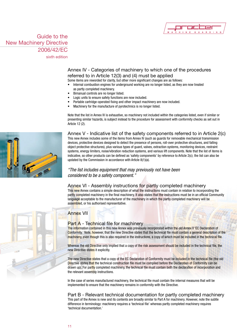

sixth edition

# Annex IV - Categories of machinery to which one of the procedures referred to in Article 12(3) and (4) must be applied

Some items are reworded for clarity, but other more significant changes are as follows:

- Internal combustion engines for underground working are no longer listed, as they are now treated as partly completed machinery.
- Bimanual controls are no longer listed.
- Logic units to ensure safety functions are now included.
- Portable cartridge-operated fixing and other impact machinery are now included.
- Machinery for the manufacture of pyrotechnics is no longer listed.

Note that the list in Annex IV is exhaustive, so machinery not included within the categories listed, even if similar or presenting similar hazards, is subject instead to the procedure for assessment with conformity checks as set out in Article 12 (2).

Annex V - Indicative list of the safety components referred to in Article 2(c) This new Annex includes some of the items from Annex IV (such as guards for removable mechanical transmission devices, protective devices designed to detect the presence of persons, roll-over protective structures, and falling object protective structures), plus various types of guard, valves, extraction systems, monitoring devices, restraint systems, energy limiters, noise/vibration reduction systems, and various lift components. Note that the list of items is indicative, so other products can be defined as 'safety components' by reference to Article 2(c); the list can also be updated by the Commission in accordance with Article 8(1)(a).

# *"The list includes equipment that may previously not have been considered to be a safety component."*

### Annex VI - Assembly instructions for partly completed machinery

This new Annex contains a simple description of what the instructions must contain in relation to incorporating the partly completed machinery in the final machinery. It also states that the instructions must be in an official Community language acceptable to the manufacturer of the machinery in which the partly completed machinery will be assembled, or his authorised representative.

# Annex VII

### Part A - Technical file for machinery

The information contained in this new Annex was previously incorporated within the old Annex V 'EC Declaration of Conformity.' Note, however, that the new Directive states that the technical file must contain a general description of the machinery, even though this is also required in the instructions, a copy of which must be included in the technical file.

Whereas the old Directive only implied that a copy of the risk assessment should be included in the technical file, the new Directive states it explicitly.

The new Directive states that a copy of the EC Declaration of Conformity must be included in the technical file (the old Directive states that the technical construction file must be compiled before the Declaration of Conformity can be drawn up). For partly completed machinery, the technical file must contain both the declaration of incorporation and the relevant assembly instructions.

In the case of series manufactured machinery, the technical file must contain the internal measures that will be implemented to ensure that the machinery remains in conformity with the Directive.

Part B - Relevant technical documentation for partly completed machinery This part of the Annex is new and its contents are broadly similar to Part A for machinery. However, note the subtle difference in terminology: machinery requires a 'technical file' whereas partly completed machinery requires 'technical documentation.'



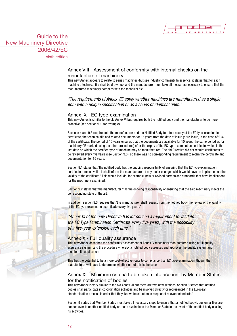

sixth edition

# Annex VIII - Assessment of conformity with internal checks on the manufacture of machinery

This new Annex appears to relate to series machines (but see industry comment). In essence, it states that for each machine a technical file shall be drawn up, and the manufacturer must take all measures necessary to ensure that the manufactured machinery complies with the technical file.

# *"The requirements of Annex VIII apply whether machines are manufactured as a single item with a unique specification or as a series of identical units."*

### Annex IX - EC type-examination

This new Annex is similar to the old Annex VI but requires both the notified body and the manufacturer to be more proactive (see section 9.1, for example).

Sections 4 and 9.3 require both the manufacturer and the Notified Body to retain a copy of the EC type-examination certificate, the technical file and related documents for 15 years from the date of issue (or re-issue, in the case of 9.3) of the certificate. The period of 15 years ensures that the documents are available for 10 years (the same period as for machinery CE marked using the other procedures) after the expiry of the EC type-examination certificate, which is the last date on which the certified type of machine may be manufactured. The old Directive did not require certificates to be reviewed every five years (see Section 9.3), so there was no corresponding requirement to retain the certificate and documentation for 15 years.

Section 9.1 states that 'the notified body has the ongoing responsibility of ensuring that the EC type-examination certificate remains valid. It shall inform the manufacturer of any major changes which would have an implication on the validity of the certificate.' This would include, for example, new or revised harmonised standards that have implications for the machinery examined.

Section 9.2 states that the manufacturer 'has the ongoing responsibility of ensuring that the said machinery meets the corresponding state of the art.'

In addition, section 9.3 requires that 'the manufacturer shall request from the notified body the review of the validity of the EC type-examination certificate every five years.'

*"Annex IX of the new Directive has introduced a requirement to validate the EC Type Examination Certificate every five years, with the possibility of a five-year extension each time."*

### Annex X - Full quality assurance

This new Annex describes the conformity assessment of Annex IV machinery manufactured using a full quality assurance system, and the procedure whereby a notified body assesses and approves the quality system and monitors its application.

This has the potential to be a more cost-effective route to compliance than EC type-examination, though the manufacturer will have to determine whether or not this is the case.

# Annex XI - Minimum criteria to be taken into account by Member States for the notification of bodies

This new Annex is very similar to the old Annex VII but there are two new sections. Section 8 states that notified bodies shall participate in co-ordination activities and be involved directly or represented in the European standardisation process in order that they 'know the situation in respect of relevant standards.'

Section 9 states that Member States must take all necessary steps to ensure that a notified body's customer files are handed over to another notified body or made available to the Member State in the event of the notified body ceasing its activities.

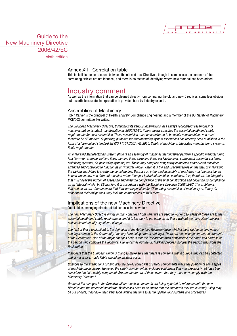

sixth edition

# Annex XII - Correlation table

This table lists the correlations between the old and new Directives, though in some cases the contents of the correlating articles are not identical, and there is no means of identifying where new material has been added.

# Industry comment

As well as the information that can be gleaned directly from comparing the old and new Directives, some less obvious but nevertheless useful interpretation is provided here by industry experts.

### Assemblies of Machinery

Robin Carver is the principal of Health & Safety Compliance Engineering and a member of the BSI Safety of Machinery MCE/003 committee. He writes:

*The European Machinery Directive, throughout its various incarnations, has always recognised 'assemblies' of machines but, in its latest manifestation as 2006/42/EC, it now clearly specifies the essential health and safety requirements for such assemblies. These assemblies must be considered to be whole new machines and must therefore be CE marked. Supporting guidance for manufacturing system assemblies has recently been published in the form of a harmonised standard EN ISO 11161:2007+A1:2010, Safety of machinery. Integrated manufacturing systems. Basic requirements.*

*An Integrated Manufacturing System (IMS) is an assembly of machines that together perform a specific manufacturing function—for example, bottling lines, canning lines, cartoning lines, packaging lines, component assembly systems, palletising systems, de-palletising systems, etc. These may comprise new, partly completed and/or used machines arranged and controlled to function as an 'integral whole.' Often it is the end user that takes on the task of integrating*  the various machines to create the complete line. Because an integrated assembly of machines must be considered *to be a whole new and different machine rather than just individual machines combined, it is, therefore, the integrator that must bear the burden of assessing and ensuring compliance of the final construction and declaring its compliance as an 'integral whole' by CE marking it in accordance with the Machinery Directive 2006/42/EC. The problem is that end users are often unaware that they are responsible for CE marking assemblies of machinery or, if they do understand their obligations, they lack the competences to fulfil them.*

### Implications of the new Machinery Directive Paul Laidler, managing director of Laidler associates, writes:

*The new Machinery Directive brings in many changes from what we are used to working to. Many of these are to the essential health and safety requirements and it is too easy to get hung up on these without worrying about the less noticeable but equally significant changes.*

*The first of these to highlight is the definition of the Authorised Representative which is now said to be 'any natural and legal person in the Community,' the key here being natural and legal. There are also changes to the requirements of the Declaration. One of the major changes here is that the Declaration must now include the name and address of the person who compiles the Technical File, ie carries out the CE Marking process, not just the person who signs the Declaration.*

*It appears that the European Union is trying to make sure that there is someone within Europe who can be contacted and, if necessary, made liable should an incident occur.*

*Changes to the exemptions list and also the newly added list of safety components make the position of some types of machine much clearer. However, the safety component list includes equipment that may previously not have been considered to be a safety component. Are manufacturers of these aware that they must now comply with the Machinery Directive?*

*On top of the changes to the Directive, all harmonised standards are being updated to reference both the new Directive and the amended standards. Businesses need to be aware that the standards they are currently using may be out of date, if not now, then very soon. Now is the time to act to update your systems and procedures.*

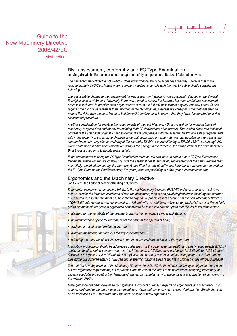

sixth edition

### Risk assessment, conformity and EC Type Examination Ian Murgatroyd, the European product manager for safety components at Rockwell Automation, writes:

*The new Machinery Directive 2006/42/EC does not introduce any radical changes over the Directive that it will replace, namely 98/37/EC; however, any company needing to comply with the new Directive should consider the following.*

*There is a subtle change to the requirement for risk assessment, which is now specifically detailed in the General Principles section of Annex I. Previously there was a need to assess the hazards, but now the full risk assessment process is included. In practise most organisations carry out a full risk assessment anyway, but now Annex VII also requires the full risk assessment to be included in the technical file, whereas previously only the methods used to reduce the risks were needed. Machine builders will therefore need to ensure that they have documented their risk assessment procedure.*

*Another consideration for meeting the requirements of the new Machinery Directive will be for manufacturers of machinery to spend time and money in updating their EC declarations of conformity. The version dates and technical content of the standards originally used to demonstrate compliance with the essential health and safety requirements will, in the majority of cases, have changed since that declaration of conformity was last updated. In a few cases the standard's number may also have changed (for example, EN 954-1 is transitioning to EN ISO 13849-1). Although this work would need to have been undertaken without the change in the Directive, the introduction of the new Machinery Directive is a good time to update these details.*

*If the manufacturer is using the EC Type Examination route he will now have to obtain a new EC Type Examination Certificate, which will require compliance with the essential health and safety requirements of the new Directive (and, most likely, the latest standards). Furthermore, Annex IX of the new directive has introduced a requirement to validate the EC Type Examination Certificate every five years, with the possibility of a five-year extension each time.*

# Ergonomics and the Machinery Directive

Jon Severn, the Editor of MachineBuilding.net, writes:

*Ergonomics was covered, somewhat briefly, in the old Machinery Directive 98/37/EC in Annex I, section 1.1.2 d, as follows: "Under the intended conditions of use, the discomfort, fatigue and psychological stress faced by the operator must be reduced to the minimum possible taking ergonomic principles into account." In the new Machinery Directive 2006/42/EC, this sentence remains in section 1.1.6, but with an additional reference to physical stress and five indents giving examples of the types of ergonomic principles to be taken into account (note that this list is not exhaustive):*

- allowing for the variability of the operator's physical dimensions, strength and stamina,
- *providing enough space for movements of the parts of the operator's body,*
- • *avoiding a machine-determined work rate,*
- avoiding monitoring that requires lengthy concentration,
- adapting the man/machinery interface to the foreseeable characteristics of the operators.

*In addition, ergonomics should be addressed under many of the other essential health and safety requirements (EHSRs)*  applicable to all machinery types—such as 1.1.4 (Lighting), 1.1.7 (Operating positions), 1.1.8 (Seating), 1.2.2 (Control *devices), 1.5.8 (Noise), 1.5.9 (Vibration), 1.6.2 (Access to operating positions and servicing points), 1.7 (Information) plus numerous supplementary EHSRs relating to specific machine types (a full list is provided in the official guidance).*

*The 2nd Guide to Application of the Machinery Directive 2006/42/EC (ie the official guidance) is helpful in that it points out the ergonomic requirements, but it provides little advice on the steps to be taken when designing machinery. As usual, a good starting point is the Harmonised Standards, compliance with which gives a presumption of conformity to the relevant EHSRs.*

*More guidance has been developed by ErgoMach, a group of European experts on ergonomics and machinery. This group contributed to the official guidance mentioned above and has prepared a series of Information Sheets that can be downloaded as PDF files from the ErgoMach website at www.ergomach.eu*

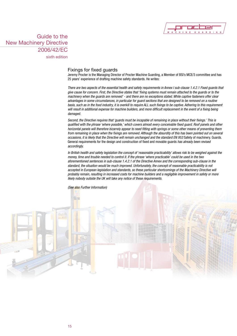

sixth edition

### Fixings for fixed guards

Jeremy Procter is the Managing Director of Procter Machine Guarding, a Member of BSI's MCE/3 committee and has 25 years' experience of drafting machine safety standards. He writes:

*There are two aspects of the essential health and safety requirements in Annex I sub-clause 1.4.2.1 Fixed guards that give cause for concern. First, the Directive states that 'fixing systems must remain attached to the guards or to the machinery when the guards are removed' - and there are no exceptions stated. While captive fasteners offer clear advantages in some circumstances, in particular for guard sections that are designed to be removed on a routine basis, such as in the food industry, it is overkill to require ALL such fixings to be captive. Adhering to this requirement will result in additional expense for machine builders, and more difficult replacement in the event of a fixing being damaged.*

*Second, the Directive requires that 'guards must be incapable of remaining in place without their fixings.' This is qualified with the phrase 'where possible,' which covers almost every conceivable fixed guard. Roof panels and other horizontal panels will therefore bizarrely appear to need fitting with springs or some other means of preventing them from remaining in place when the fixings are removed. Although the absurdity of this has been pointed out on several occasions, it is likely that the Directive will remain unchanged and the standard EN 953* Safety of machinery. Guards. General requirements for the design and construction of fixed and movable guards *has already been revised accordingly.*

*In British health and safety legislation the concept of 'reasonable practicability' allows risk to be weighed against the money, time and trouble needed to control it. If the phrase 'where practicable' could be used in the two aforementioned sentences in sub-clause 1.4.2.1 of the Directive Annex and the corresponding sub-clause in the standard, the situation would be much improved. Unfortunately, the concept of reasonable practicability is not accepted in European legislation and standards, so these particular shortcomings of the Machinery Directive will probably remain, resulting in increased costs for machine builders and a negligible improvement in safety or more likely nobody outside the UK will take any notice of these requirements.*

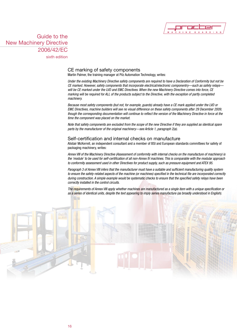

sixth edition

# CE marking of safety components

Martin Palmer, the training manager at Pilz Automation Technology, writes:

*Under the existing Machinery Directive safety components are required to have a Declaration of Conformity but not be CE marked. However, safety components that incorporate electrical/electronic componentry—such as safety relays will be CE marked under the LVD and EMC Directives. When the new Machinery Directive comes into force, CE marking will be required for ALL of the products subject to the Directive, with the exception of partly completed machinery.*

*Because most safety components (but not, for example, guards) already have a CE mark applied under the LVD or EMC Directives, machine builders will see no visual difference on these safety components after 29 December 2009, though the corresponding documentation will continue to reflect the version of the Machinery Directive in force at the time the component was placed on the market.*

*Note that safety components are excluded from the scope of the new Directive if they are supplied as identical spare parts by the manufacturer of the original machinery—see Article 1, paragraph 2(a).*

### Self-certification and internal checks on manufacture

Alistair McKerrell, an independent consultant and a member of BSI and European standards committees for safety of packaging machinery, writes:

*Annex VIII of the Machinery Directive (Assessment of conformity with internal checks on the manufacture of machinery) is the 'module' to be used for self-certification of all non-Annex IV machines. This is comparable with the modular approach to conformity assessment used in other Directives for product supply, such as pressure equipment and ATEX 95.*

*Paragraph 3 of Annex VIII infers that the manufacturer must have a suitable and sufficient manufacturing quality system to ensure the safety-related aspects of the machine (or machines) specified in the technical file are incorporated correctly during construction. A simple example would be systematic checks to ensure that the specified safety relays have been correctly installed in the control circuits.*

*The requirements of Annex VIII apply whether machines are manufactured as a single item with a unique specification or as a series of identical units, despite the text appearing to imply series manufacture (as broadly understood in English).*

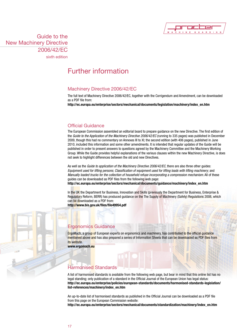

sixth edition

# Further information

# Machinery Directive 2006/42/EC

The full text of Machinery Directive 2006/42/EC, together with the Corrigendum and Amendment, can be downloaded as a PDF file from:

**http://ec.europa.eu/enterprise/sectors/mechanical/documents/legislation/machinery/index\_en.htm**

# Official Guidance

The European Commission assembled an editorial board to prepare guidance on the new Directive. The first edition of the *Guide to the Application of the Machinery Directive 2006/42/EC* (running to 335 pages) was published in December 2009, though this had no commentary on Annexes III to XI; the second edition (with 406 pages), published in June 2010, included this information and some other amendments. It is intended that regular updates of the Guide will be published in order to present answers to questions agreed by the Machinery Committee and the Machinery Working Group. While the Guide provides helpful explanations of the various clauses within the new Machinery Directive, is does not seek to highlight differences between the old and new Directives.

As well as the *Guide to application of the Machinery Directive 2006/42/EC*, there are also three other guides: *Equipment used for lifting persons*; *Classification of equipment used for lifting loads with lifting machinery*; and *Manually loaded trucks for the collection of household refuse incorporating a compression mechanism*. All of these guides can be downloaded as PDF files from the following web page:

**http://ec.europa.eu/enterprise/sectors/mechanical/documents/guidance/machinery/index\_en.htm**

In the UK the Department for Business, Innovation and Skills (previously the Department for Business, Enterprise & Regulatory Reform, BERR) has produced guidance on the The Supply of Machinery (Safety) Regulations 2008, which can be downloaded as a PDF from:

**http://www.bis.gov.uk/files/file49954.pdf**

# Ergonomics Guidance

ErgoMach, a group of European experts on ergonomics and machinery, has contributed to the official guidance mentioned above and has also prepared a series of Information Sheets that can be downloaded as PDF files from its website.

**www.ergomach.eu** 

# Harmonised Standards

A list of harmonised standards is available from the following web page, but bear in mind that this online list has no legal standing; only publication of a standard in the Official Journal of the European Union has legal status: **http://ec.europa.eu/enterprise/policies/european-standards/documents/harmonised-standards-legislation/ list-references/machinery/index\_en.htm**

An up-to-date list of harmonised standards as published in the Official Journal can be downloaded as a PDF file from this page on the European Commission website:

**http://ec.europa.eu/enterprise/sectors/mechanical/documents/standardization/machinery/index\_en.htm**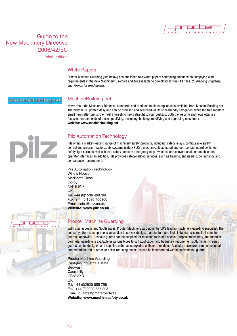

sixth edition

### White Papers

Procter Machine Guarding (see below) has published two White papers containing guidance on complying with requirements in the new Machinery Directive and are available to download as free PDF files: *CE marking of guards*; and *Fixings for fixed guards*.

### MachineBuilding.net

# MachineBuilding.net

News about the Machinery Directive, standards and products to aid compliance is available from MachineBuilding.net. The website is updated daily and can be browsed and searched via its user-friendly navigation, while the free monthly email newsletter brings the most interesting news straight to your desktop. Both the website and newsletter are focussed on the needs of those specifying, designing, building, modifying and upgrading machinery. **Website: www.machinebuilding.net**

# IZ

# Pilz Automation Technology

Pilz offers a market-leading range of machinery safety products, including: safety relays; configurable safety controllers; programmable safety systems (safety PLCs); mechanically actuated and non-contact guard switches; safety light curtains; vision-based safety sensors; emergency stop switches; and conventional and touchscreen operator interfaces. In addition, Pilz provides safety-related services, such as training, engineering, consultancy and competence management.

Pilz Automation Technology Willow House Medlicott Close **Corby** NN18 9NF UK Tel: +44 (0)1536 460766 Fax: +44 (0)1536 460866 Email: sales@pilz.co.uk **Website: www.pilz.co.uk**

# Procter Machine Guarding

With sites in Leeds and South Wales, Procter Machine Guarding is the UK's leading machinery guarding specialist. The company offers a comprehensive service to survey, design, manufacture and install standards-compliant machine guards nationwide. Bespoke guards can be supplied for machine tools and special-purpose machinery, and modular perimeter guarding is available in various types to suit application and budgetary requirements. Aluminium-framed guards can be designed and supplied either as completed units or in modules. Acoustic enclosures can be designed and manufactured to order, or noise-reducing measures can be incorporated within conventional guards.

Procter Machine Guarding Pantglas Industrial Estate **Bedwas Caerphilly** CF83 8XD UK Tel: +44 (0)2920 855 758 Fax: +44 (0)2920 887 005 Email: guards@procterbedwas **Website: www.machinesafety.co.uk**